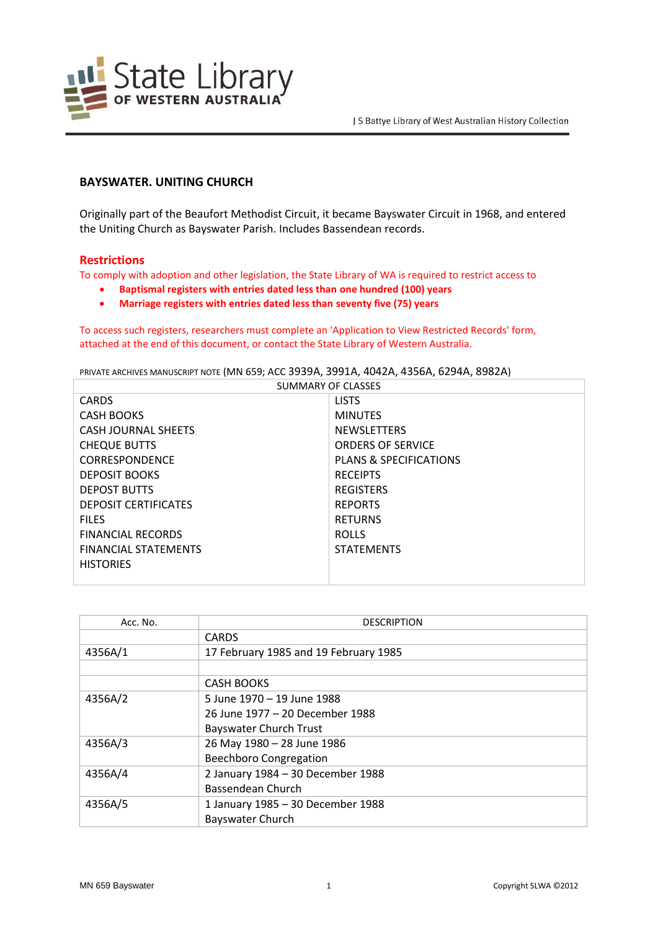

## **BAYSWATER. UNITING CHURCH**

Originally part of the Beaufort Methodist Circuit, it became Bayswater Circuit in 1968, and entered the Uniting Church as Bayswater Parish. Includes Bassendean records.

## **Restrictions**

To comply with adoption and other legislation, the State Library of WA is required to restrict access to

- **Baptismal registers with entries dated less than one hundred (100) years**
- **Marriage registers with entries dated less than seventy five (75) years**

To access such registers, researchers must complete an 'Application to View Restricted Records' form, attached at the end of this document, or contact the State Library of Western Australia.

PRIVATE ARCHIVES MANUSCRIPT NOTE (MN 659; ACC 3939A, 3991A, 4042A, 4356A, 6294A, 8982A)

| <b>SUMMARY OF CLASSES</b>   |                                   |  |
|-----------------------------|-----------------------------------|--|
| <b>CARDS</b>                | <b>LISTS</b>                      |  |
| <b>CASH BOOKS</b>           | <b>MINUTES</b>                    |  |
| <b>CASH JOURNAL SHEETS</b>  | <b>NEWSLETTERS</b>                |  |
| <b>CHEQUE BUTTS</b>         | <b>ORDERS OF SERVICE</b>          |  |
| <b>CORRESPONDENCE</b>       | <b>PLANS &amp; SPECIFICATIONS</b> |  |
| <b>DEPOSIT BOOKS</b>        | <b>RECEIPTS</b>                   |  |
| <b>DEPOST BUTTS</b>         | <b>REGISTERS</b>                  |  |
| <b>DEPOSIT CERTIFICATES</b> | <b>REPORTS</b>                    |  |
| <b>FILES</b>                | <b>RETURNS</b>                    |  |
| <b>FINANCIAL RECORDS</b>    | <b>ROLLS</b>                      |  |
| <b>FINANCIAL STATEMENTS</b> | <b>STATEMENTS</b>                 |  |
| <b>HISTORIES</b>            |                                   |  |
|                             |                                   |  |

| Acc. No. | <b>DESCRIPTION</b>                    |
|----------|---------------------------------------|
|          | <b>CARDS</b>                          |
| 4356A/1  | 17 February 1985 and 19 February 1985 |
|          |                                       |
|          | <b>CASH BOOKS</b>                     |
| 4356A/2  | 5 June 1970 - 19 June 1988            |
|          | 26 June 1977 - 20 December 1988       |
|          | <b>Bayswater Church Trust</b>         |
| 4356A/3  | 26 May 1980 - 28 June 1986            |
|          | <b>Beechboro Congregation</b>         |
| 4356A/4  | 2 January 1984 - 30 December 1988     |
|          | Bassendean Church                     |
| 4356A/5  | 1 January 1985 - 30 December 1988     |
|          | Bayswater Church                      |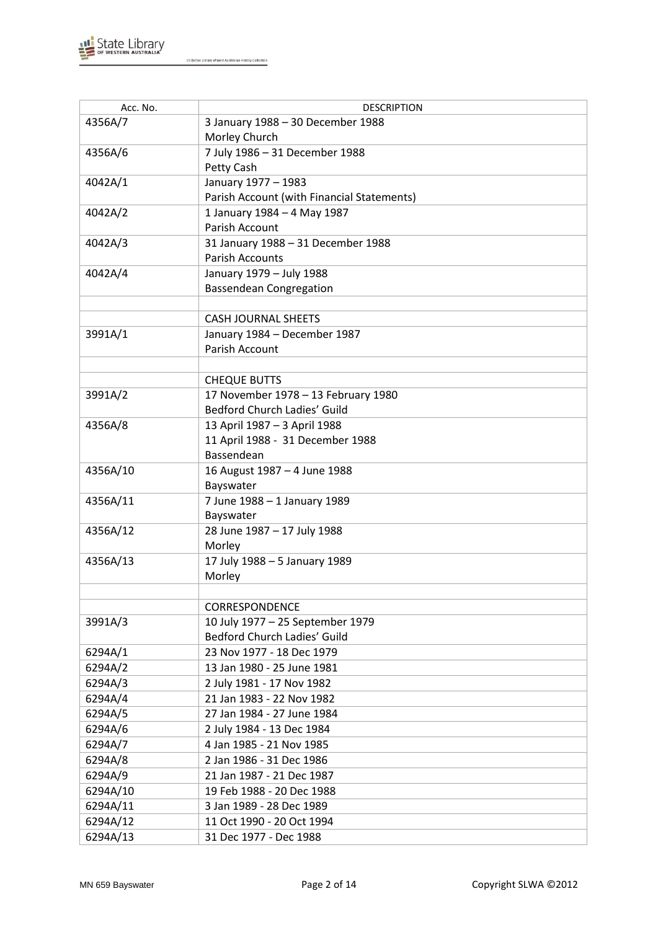

| Acc. No. | <b>DESCRIPTION</b>                         |
|----------|--------------------------------------------|
| 4356A/7  | 3 January 1988 - 30 December 1988          |
|          | Morley Church                              |
| 4356A/6  | 7 July 1986 - 31 December 1988             |
|          | Petty Cash                                 |
| 4042A/1  | January 1977 - 1983                        |
|          | Parish Account (with Financial Statements) |
| 4042A/2  | 1 January 1984 - 4 May 1987                |
|          | Parish Account                             |
| 4042A/3  | 31 January 1988 - 31 December 1988         |
|          | <b>Parish Accounts</b>                     |
| 4042A/4  | January 1979 - July 1988                   |
|          | <b>Bassendean Congregation</b>             |
|          |                                            |
|          | <b>CASH JOURNAL SHEETS</b>                 |
| 3991A/1  | January 1984 - December 1987               |
|          | Parish Account                             |
|          |                                            |
|          | <b>CHEQUE BUTTS</b>                        |
| 3991A/2  | 17 November 1978 - 13 February 1980        |
|          | Bedford Church Ladies' Guild               |
| 4356A/8  | 13 April 1987 - 3 April 1988               |
|          | 11 April 1988 - 31 December 1988           |
|          | Bassendean                                 |
| 4356A/10 | 16 August 1987 - 4 June 1988               |
|          | Bayswater                                  |
| 4356A/11 | 7 June 1988 - 1 January 1989               |
|          | Bayswater                                  |
| 4356A/12 | 28 June 1987 - 17 July 1988                |
|          | Morley                                     |
| 4356A/13 | 17 July 1988 - 5 January 1989              |
|          | Morley                                     |
|          |                                            |
|          | CORRESPONDENCE                             |
| 3991A/3  | 10 July 1977 - 25 September 1979           |
|          | Bedford Church Ladies' Guild               |
| 6294A/1  | 23 Nov 1977 - 18 Dec 1979                  |
| 6294A/2  | 13 Jan 1980 - 25 June 1981                 |
| 6294A/3  | 2 July 1981 - 17 Nov 1982                  |
| 6294A/4  | 21 Jan 1983 - 22 Nov 1982                  |
| 6294A/5  | 27 Jan 1984 - 27 June 1984                 |
| 6294A/6  | 2 July 1984 - 13 Dec 1984                  |
| 6294A/7  | 4 Jan 1985 - 21 Nov 1985                   |
| 6294A/8  | 2 Jan 1986 - 31 Dec 1986                   |
| 6294A/9  | 21 Jan 1987 - 21 Dec 1987                  |
| 6294A/10 | 19 Feb 1988 - 20 Dec 1988                  |
| 6294A/11 | 3 Jan 1989 - 28 Dec 1989                   |
| 6294A/12 | 11 Oct 1990 - 20 Oct 1994                  |
| 6294A/13 | 31 Dec 1977 - Dec 1988                     |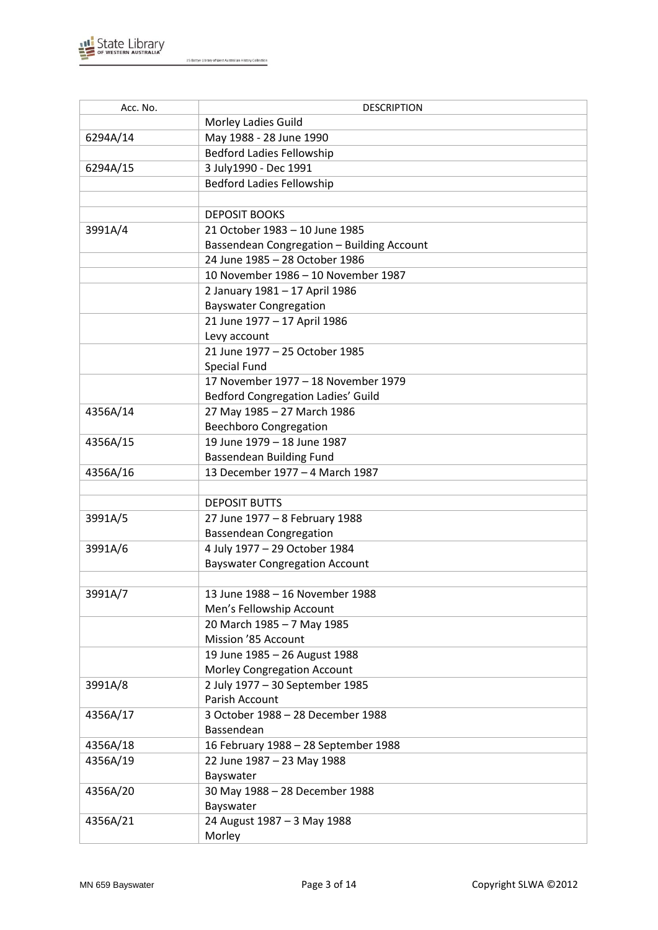

| Acc. No. | <b>DESCRIPTION</b>                         |
|----------|--------------------------------------------|
|          | Morley Ladies Guild                        |
| 6294A/14 | May 1988 - 28 June 1990                    |
|          | <b>Bedford Ladies Fellowship</b>           |
| 6294A/15 | 3 July1990 - Dec 1991                      |
|          | <b>Bedford Ladies Fellowship</b>           |
|          |                                            |
|          | <b>DEPOSIT BOOKS</b>                       |
| 3991A/4  | 21 October 1983 - 10 June 1985             |
|          | Bassendean Congregation - Building Account |
|          | 24 June 1985 - 28 October 1986             |
|          | 10 November 1986 - 10 November 1987        |
|          | 2 January 1981 - 17 April 1986             |
|          | <b>Bayswater Congregation</b>              |
|          | 21 June 1977 - 17 April 1986               |
|          | Levy account                               |
|          | 21 June 1977 - 25 October 1985             |
|          | Special Fund                               |
|          | 17 November 1977 - 18 November 1979        |
|          | Bedford Congregation Ladies' Guild         |
| 4356A/14 | 27 May 1985 - 27 March 1986                |
|          | <b>Beechboro Congregation</b>              |
| 4356A/15 | 19 June 1979 - 18 June 1987                |
|          | <b>Bassendean Building Fund</b>            |
| 4356A/16 | 13 December 1977 - 4 March 1987            |
|          |                                            |
|          | <b>DEPOSIT BUTTS</b>                       |
| 3991A/5  | 27 June 1977 - 8 February 1988             |
|          | <b>Bassendean Congregation</b>             |
| 3991A/6  | 4 July 1977 - 29 October 1984              |
|          | <b>Bayswater Congregation Account</b>      |
|          |                                            |
| 3991A/7  | 13 June 1988 - 16 November 1988            |
|          | Men's Fellowship Account                   |
|          | 20 March 1985 - 7 May 1985                 |
|          | Mission '85 Account                        |
|          | 19 June 1985 - 26 August 1988              |
|          | Morley Congregation Account                |
| 3991A/8  | 2 July 1977 - 30 September 1985            |
|          | Parish Account                             |
| 4356A/17 | 3 October 1988 - 28 December 1988          |
|          | Bassendean                                 |
| 4356A/18 | 16 February 1988 - 28 September 1988       |
| 4356A/19 | 22 June 1987 - 23 May 1988                 |
|          | Bayswater                                  |
| 4356A/20 | 30 May 1988 - 28 December 1988             |
|          | Bayswater                                  |
| 4356A/21 | 24 August 1987 - 3 May 1988                |
|          | Morley                                     |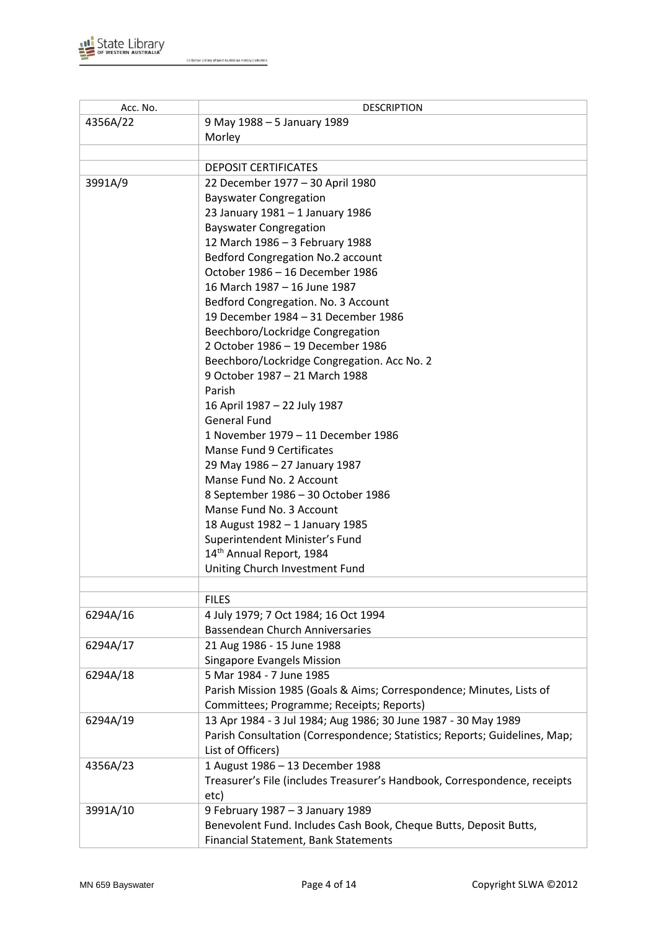

| Acc. No. | <b>DESCRIPTION</b>                                                         |
|----------|----------------------------------------------------------------------------|
| 4356A/22 | 9 May 1988 - 5 January 1989                                                |
|          | Morley                                                                     |
|          |                                                                            |
|          | <b>DEPOSIT CERTIFICATES</b>                                                |
| 3991A/9  | 22 December 1977 - 30 April 1980                                           |
|          | <b>Bayswater Congregation</b>                                              |
|          | 23 January 1981 - 1 January 1986                                           |
|          | <b>Bayswater Congregation</b>                                              |
|          | 12 March 1986 - 3 February 1988                                            |
|          |                                                                            |
|          | Bedford Congregation No.2 account                                          |
|          | October 1986 - 16 December 1986                                            |
|          | 16 March 1987 - 16 June 1987                                               |
|          | Bedford Congregation. No. 3 Account                                        |
|          | 19 December 1984 - 31 December 1986                                        |
|          | Beechboro/Lockridge Congregation                                           |
|          | 2 October 1986 - 19 December 1986                                          |
|          | Beechboro/Lockridge Congregation. Acc No. 2                                |
|          | 9 October 1987 - 21 March 1988                                             |
|          | Parish                                                                     |
|          | 16 April 1987 - 22 July 1987                                               |
|          | <b>General Fund</b>                                                        |
|          | 1 November 1979 - 11 December 1986                                         |
|          | <b>Manse Fund 9 Certificates</b>                                           |
|          | 29 May 1986 - 27 January 1987                                              |
|          | Manse Fund No. 2 Account                                                   |
|          | 8 September 1986 - 30 October 1986                                         |
|          | Manse Fund No. 3 Account                                                   |
|          | 18 August 1982 - 1 January 1985                                            |
|          | Superintendent Minister's Fund                                             |
|          | 14 <sup>th</sup> Annual Report, 1984                                       |
|          | Uniting Church Investment Fund                                             |
|          |                                                                            |
|          | <b>FILES</b>                                                               |
| 6294A/16 | 4 July 1979; 7 Oct 1984; 16 Oct 1994                                       |
|          | <b>Bassendean Church Anniversaries</b>                                     |
| 6294A/17 | 21 Aug 1986 - 15 June 1988                                                 |
|          | Singapore Evangels Mission                                                 |
| 6294A/18 | 5 Mar 1984 - 7 June 1985                                                   |
|          |                                                                            |
|          | Parish Mission 1985 (Goals & Aims; Correspondence; Minutes, Lists of       |
|          | Committees; Programme; Receipts; Reports)                                  |
| 6294A/19 | 13 Apr 1984 - 3 Jul 1984; Aug 1986; 30 June 1987 - 30 May 1989             |
|          | Parish Consultation (Correspondence; Statistics; Reports; Guidelines, Map; |
|          | List of Officers)                                                          |
| 4356A/23 | 1 August 1986 - 13 December 1988                                           |
|          | Treasurer's File (includes Treasurer's Handbook, Correspondence, receipts  |
|          | etc)                                                                       |
| 3991A/10 | 9 February 1987 - 3 January 1989                                           |
|          | Benevolent Fund. Includes Cash Book, Cheque Butts, Deposit Butts,          |
|          | Financial Statement, Bank Statements                                       |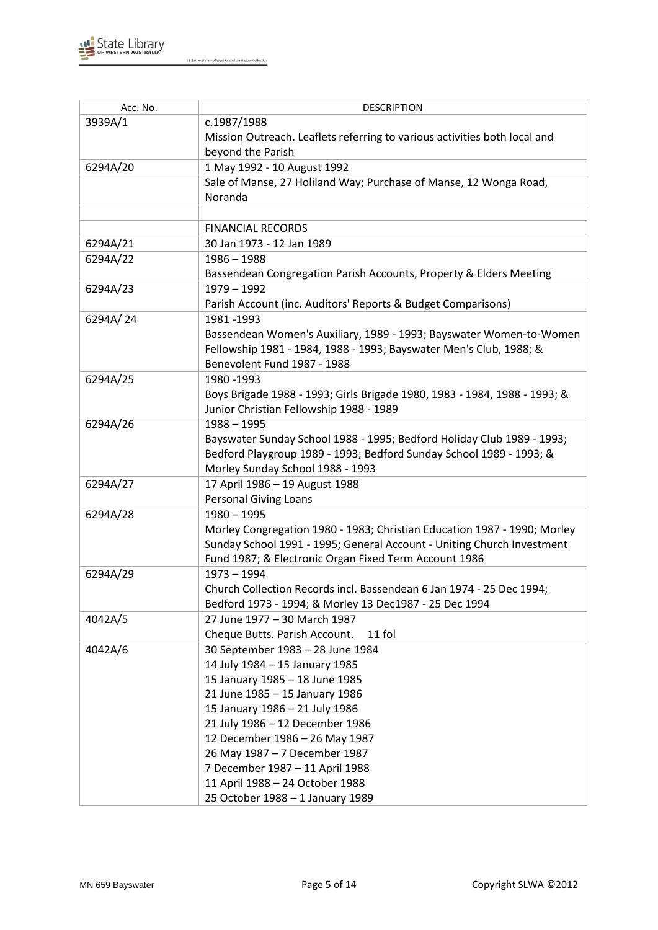

| Acc. No. | <b>DESCRIPTION</b>                                                        |
|----------|---------------------------------------------------------------------------|
| 3939A/1  | c.1987/1988                                                               |
|          | Mission Outreach. Leaflets referring to various activities both local and |
|          | beyond the Parish                                                         |
| 6294A/20 | 1 May 1992 - 10 August 1992                                               |
|          | Sale of Manse, 27 Holiland Way; Purchase of Manse, 12 Wonga Road,         |
|          | Noranda                                                                   |
|          |                                                                           |
|          | <b>FINANCIAL RECORDS</b>                                                  |
| 6294A/21 | 30 Jan 1973 - 12 Jan 1989                                                 |
| 6294A/22 | 1986 - 1988                                                               |
|          | Bassendean Congregation Parish Accounts, Property & Elders Meeting        |
| 6294A/23 | $1979 - 1992$                                                             |
|          | Parish Account (inc. Auditors' Reports & Budget Comparisons)              |
| 6294A/24 | 1981-1993                                                                 |
|          | Bassendean Women's Auxiliary, 1989 - 1993; Bayswater Women-to-Women       |
|          | Fellowship 1981 - 1984, 1988 - 1993; Bayswater Men's Club, 1988; &        |
|          | Benevolent Fund 1987 - 1988                                               |
| 6294A/25 | 1980 - 1993                                                               |
|          | Boys Brigade 1988 - 1993; Girls Brigade 1980, 1983 - 1984, 1988 - 1993; & |
|          | Junior Christian Fellowship 1988 - 1989                                   |
| 6294A/26 | $1988 - 1995$                                                             |
|          | Bayswater Sunday School 1988 - 1995; Bedford Holiday Club 1989 - 1993;    |
|          | Bedford Playgroup 1989 - 1993; Bedford Sunday School 1989 - 1993; &       |
|          | Morley Sunday School 1988 - 1993                                          |
| 6294A/27 | 17 April 1986 - 19 August 1988                                            |
|          | <b>Personal Giving Loans</b>                                              |
| 6294A/28 | $1980 - 1995$                                                             |
|          | Morley Congregation 1980 - 1983; Christian Education 1987 - 1990; Morley  |
|          | Sunday School 1991 - 1995; General Account - Uniting Church Investment    |
|          | Fund 1987; & Electronic Organ Fixed Term Account 1986                     |
| 6294A/29 | $1973 - 1994$                                                             |
|          | Church Collection Records incl. Bassendean 6 Jan 1974 - 25 Dec 1994;      |
|          | Bedford 1973 - 1994; & Morley 13 Dec1987 - 25 Dec 1994                    |
| 4042A/5  | 27 June 1977 - 30 March 1987                                              |
|          | Cheque Butts. Parish Account.<br>11 fol                                   |
| 4042A/6  | 30 September 1983 - 28 June 1984                                          |
|          | 14 July 1984 - 15 January 1985                                            |
|          | 15 January 1985 - 18 June 1985                                            |
|          | 21 June 1985 - 15 January 1986                                            |
|          | 15 January 1986 - 21 July 1986                                            |
|          | 21 July 1986 - 12 December 1986                                           |
|          | 12 December 1986 - 26 May 1987                                            |
|          | 26 May 1987 - 7 December 1987                                             |
|          | 7 December 1987 - 11 April 1988                                           |
|          |                                                                           |
|          |                                                                           |
|          | 11 April 1988 - 24 October 1988<br>25 October 1988 - 1 January 1989       |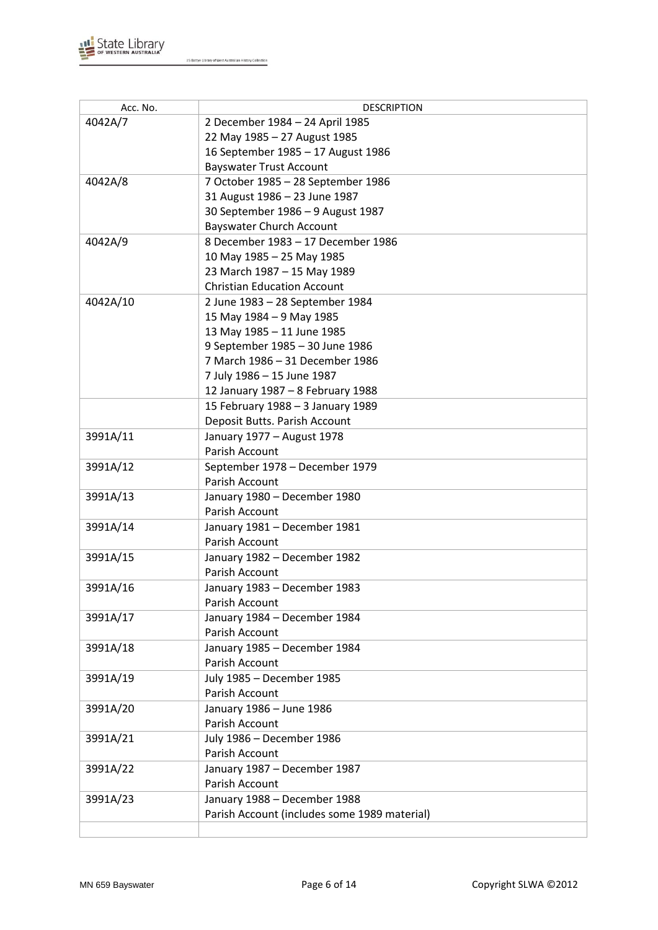

| Acc. No. | <b>DESCRIPTION</b>                           |
|----------|----------------------------------------------|
| 4042A/7  | 2 December 1984 - 24 April 1985              |
|          | 22 May 1985 - 27 August 1985                 |
|          | 16 September 1985 - 17 August 1986           |
|          | <b>Bayswater Trust Account</b>               |
| 4042A/8  | 7 October 1985 - 28 September 1986           |
|          | 31 August 1986 - 23 June 1987                |
|          | 30 September 1986 - 9 August 1987            |
|          | <b>Bayswater Church Account</b>              |
| 4042A/9  | 8 December 1983 - 17 December 1986           |
|          | 10 May 1985 - 25 May 1985                    |
|          | 23 March 1987 - 15 May 1989                  |
|          | <b>Christian Education Account</b>           |
| 4042A/10 | 2 June 1983 - 28 September 1984              |
|          | 15 May 1984 - 9 May 1985                     |
|          | 13 May 1985 - 11 June 1985                   |
|          | 9 September 1985 - 30 June 1986              |
|          | 7 March 1986 - 31 December 1986              |
|          | 7 July 1986 - 15 June 1987                   |
|          | 12 January 1987 - 8 February 1988            |
|          | 15 February 1988 - 3 January 1989            |
|          | Deposit Butts. Parish Account                |
| 3991A/11 | January 1977 - August 1978                   |
|          | Parish Account                               |
| 3991A/12 | September 1978 - December 1979               |
|          | Parish Account                               |
| 3991A/13 | January 1980 - December 1980                 |
|          | Parish Account                               |
| 3991A/14 | January 1981 - December 1981                 |
|          | Parish Account                               |
| 3991A/15 | January 1982 - December 1982                 |
|          | Parish Account                               |
| 3991A/16 | January 1983 - December 1983                 |
|          | Parish Account                               |
| 3991A/17 | January 1984 - December 1984                 |
|          | Parish Account                               |
| 3991A/18 | January 1985 - December 1984                 |
|          | Parish Account                               |
| 3991A/19 | July 1985 - December 1985                    |
|          | Parish Account                               |
| 3991A/20 | January 1986 - June 1986                     |
|          | Parish Account                               |
| 3991A/21 | July 1986 - December 1986                    |
|          | Parish Account                               |
| 3991A/22 | January 1987 - December 1987                 |
|          | Parish Account                               |
| 3991A/23 | January 1988 - December 1988                 |
|          | Parish Account (includes some 1989 material) |
|          |                                              |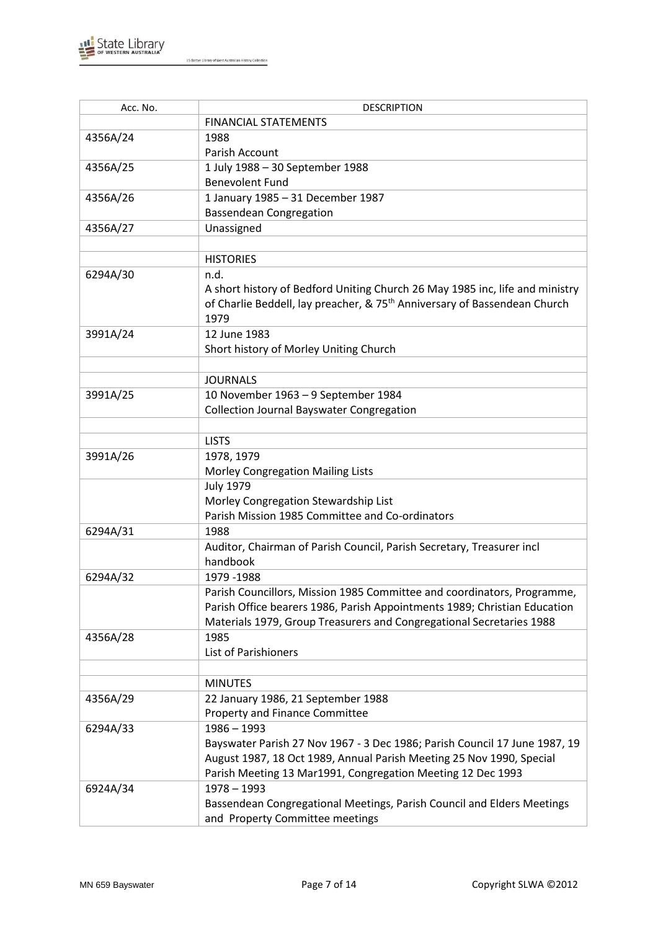

| Acc. No. | <b>DESCRIPTION</b>                                                                    |
|----------|---------------------------------------------------------------------------------------|
|          | <b>FINANCIAL STATEMENTS</b>                                                           |
| 4356A/24 | 1988                                                                                  |
|          | Parish Account                                                                        |
| 4356A/25 | 1 July 1988 - 30 September 1988                                                       |
|          | <b>Benevolent Fund</b>                                                                |
| 4356A/26 | 1 January 1985 - 31 December 1987                                                     |
|          | <b>Bassendean Congregation</b>                                                        |
| 4356A/27 | Unassigned                                                                            |
|          |                                                                                       |
|          | <b>HISTORIES</b>                                                                      |
| 6294A/30 | n.d.                                                                                  |
|          | A short history of Bedford Uniting Church 26 May 1985 inc, life and ministry          |
|          | of Charlie Beddell, lay preacher, & 75 <sup>th</sup> Anniversary of Bassendean Church |
|          | 1979                                                                                  |
| 3991A/24 | 12 June 1983                                                                          |
|          | Short history of Morley Uniting Church                                                |
|          |                                                                                       |
|          | <b>JOURNALS</b>                                                                       |
| 3991A/25 | 10 November 1963 - 9 September 1984                                                   |
|          | <b>Collection Journal Bayswater Congregation</b>                                      |
|          |                                                                                       |
|          | <b>LISTS</b>                                                                          |
| 3991A/26 | 1978, 1979                                                                            |
|          | Morley Congregation Mailing Lists                                                     |
|          | <b>July 1979</b>                                                                      |
|          | Morley Congregation Stewardship List                                                  |
|          | Parish Mission 1985 Committee and Co-ordinators                                       |
| 6294A/31 | 1988                                                                                  |
|          | Auditor, Chairman of Parish Council, Parish Secretary, Treasurer incl                 |
|          | handbook                                                                              |
| 6294A/32 | 1979 - 1988                                                                           |
|          | Parish Councillors, Mission 1985 Committee and coordinators, Programme,               |
|          | Parish Office bearers 1986, Parish Appointments 1989; Christian Education             |
|          | Materials 1979, Group Treasurers and Congregational Secretaries 1988                  |
| 4356A/28 | 1985                                                                                  |
|          | <b>List of Parishioners</b>                                                           |
|          |                                                                                       |
|          | <b>MINUTES</b>                                                                        |
| 4356A/29 | 22 January 1986, 21 September 1988                                                    |
|          | <b>Property and Finance Committee</b>                                                 |
| 6294A/33 | $1986 - 1993$                                                                         |
|          | Bayswater Parish 27 Nov 1967 - 3 Dec 1986; Parish Council 17 June 1987, 19            |
|          | August 1987, 18 Oct 1989, Annual Parish Meeting 25 Nov 1990, Special                  |
|          | Parish Meeting 13 Mar1991, Congregation Meeting 12 Dec 1993                           |
| 6924A/34 | 1978 - 1993                                                                           |
|          | Bassendean Congregational Meetings, Parish Council and Elders Meetings                |
|          | and Property Committee meetings                                                       |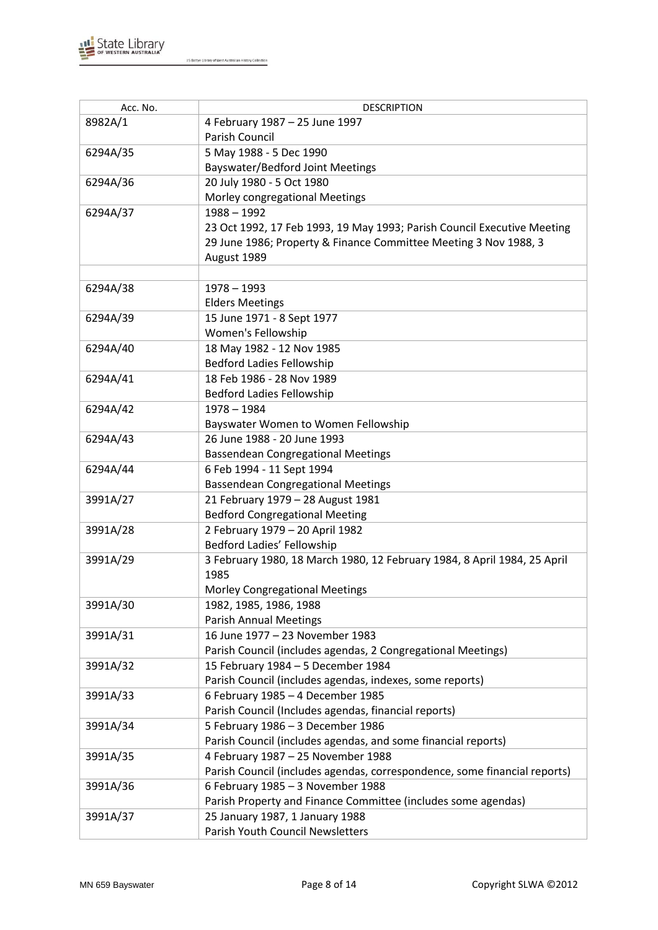

| Acc. No. | <b>DESCRIPTION</b>                                                        |
|----------|---------------------------------------------------------------------------|
| 8982A/1  | 4 February 1987 - 25 June 1997                                            |
|          | <b>Parish Council</b>                                                     |
| 6294A/35 | 5 May 1988 - 5 Dec 1990                                                   |
|          | <b>Bayswater/Bedford Joint Meetings</b>                                   |
| 6294A/36 | 20 July 1980 - 5 Oct 1980                                                 |
|          | Morley congregational Meetings                                            |
| 6294A/37 | $1988 - 1992$                                                             |
|          | 23 Oct 1992, 17 Feb 1993, 19 May 1993; Parish Council Executive Meeting   |
|          | 29 June 1986; Property & Finance Committee Meeting 3 Nov 1988, 3          |
|          | August 1989                                                               |
|          |                                                                           |
| 6294A/38 | $1978 - 1993$                                                             |
|          | <b>Elders Meetings</b>                                                    |
| 6294A/39 | 15 June 1971 - 8 Sept 1977                                                |
|          | Women's Fellowship                                                        |
| 6294A/40 | 18 May 1982 - 12 Nov 1985                                                 |
|          | <b>Bedford Ladies Fellowship</b>                                          |
| 6294A/41 | 18 Feb 1986 - 28 Nov 1989                                                 |
|          | <b>Bedford Ladies Fellowship</b>                                          |
| 6294A/42 | $1978 - 1984$                                                             |
|          | Bayswater Women to Women Fellowship                                       |
| 6294A/43 | 26 June 1988 - 20 June 1993                                               |
|          | <b>Bassendean Congregational Meetings</b>                                 |
| 6294A/44 | 6 Feb 1994 - 11 Sept 1994                                                 |
|          | <b>Bassendean Congregational Meetings</b>                                 |
| 3991A/27 | 21 February 1979 - 28 August 1981                                         |
|          | <b>Bedford Congregational Meeting</b>                                     |
| 3991A/28 | 2 February 1979 - 20 April 1982                                           |
|          | Bedford Ladies' Fellowship                                                |
| 3991A/29 | 3 February 1980, 18 March 1980, 12 February 1984, 8 April 1984, 25 April  |
|          | 1985                                                                      |
|          | <b>Morley Congregational Meetings</b>                                     |
| 3991A/30 | 1982, 1985, 1986, 1988                                                    |
|          | <b>Parish Annual Meetings</b>                                             |
| 3991A/31 | 16 June 1977 - 23 November 1983                                           |
|          | Parish Council (includes agendas, 2 Congregational Meetings)              |
| 3991A/32 | 15 February 1984 - 5 December 1984                                        |
|          | Parish Council (includes agendas, indexes, some reports)                  |
| 3991A/33 | 6 February 1985 - 4 December 1985                                         |
|          | Parish Council (Includes agendas, financial reports)                      |
| 3991A/34 | 5 February 1986 - 3 December 1986                                         |
|          | Parish Council (includes agendas, and some financial reports)             |
| 3991A/35 | 4 February 1987 - 25 November 1988                                        |
|          | Parish Council (includes agendas, correspondence, some financial reports) |
| 3991A/36 | 6 February 1985 - 3 November 1988                                         |
|          | Parish Property and Finance Committee (includes some agendas)             |
| 3991A/37 | 25 January 1987, 1 January 1988                                           |
|          | Parish Youth Council Newsletters                                          |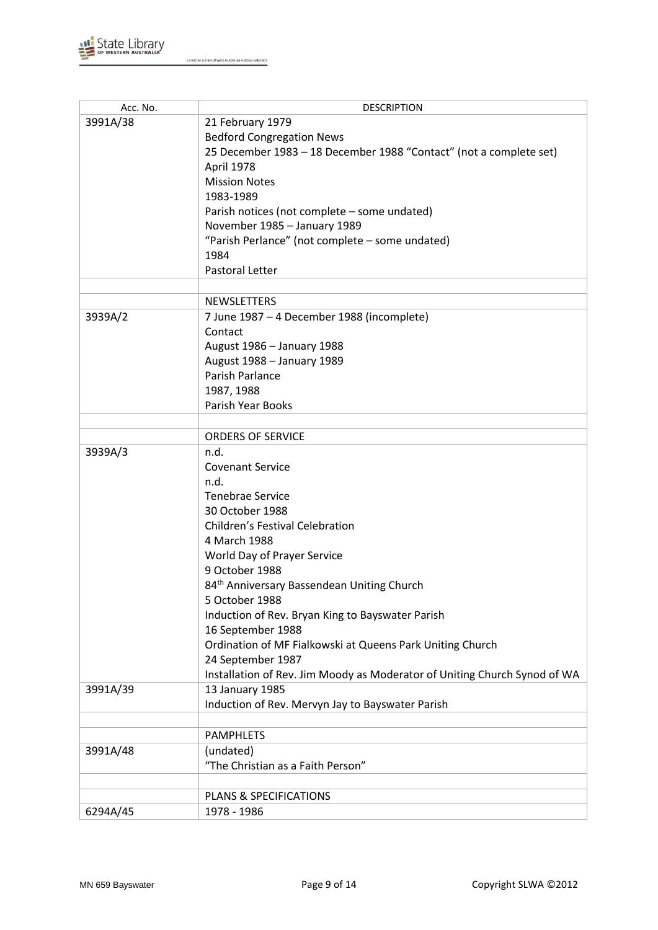

| Acc. No. | <b>DESCRIPTION</b>                                                        |
|----------|---------------------------------------------------------------------------|
| 3991A/38 | 21 February 1979                                                          |
|          | <b>Bedford Congregation News</b>                                          |
|          | 25 December 1983 - 18 December 1988 "Contact" (not a complete set)        |
|          | April 1978                                                                |
|          | <b>Mission Notes</b>                                                      |
|          | 1983-1989                                                                 |
|          | Parish notices (not complete - some undated)                              |
|          | November 1985 - January 1989                                              |
|          | "Parish Perlance" (not complete - some undated)                           |
|          | 1984                                                                      |
|          | Pastoral Letter                                                           |
|          |                                                                           |
|          |                                                                           |
|          | <b>NEWSLETTERS</b>                                                        |
| 3939A/2  | 7 June 1987 - 4 December 1988 (incomplete)                                |
|          | Contact                                                                   |
|          | August 1986 - January 1988                                                |
|          | August 1988 - January 1989                                                |
|          | Parish Parlance                                                           |
|          | 1987, 1988                                                                |
|          | Parish Year Books                                                         |
|          |                                                                           |
|          | ORDERS OF SERVICE                                                         |
| 3939A/3  | n.d.                                                                      |
|          | <b>Covenant Service</b>                                                   |
|          | n.d.                                                                      |
|          | <b>Tenebrae Service</b>                                                   |
|          | 30 October 1988                                                           |
|          | Children's Festival Celebration                                           |
|          | 4 March 1988                                                              |
|          | World Day of Prayer Service                                               |
|          | 9 October 1988                                                            |
|          | 84 <sup>th</sup> Anniversary Bassendean Uniting Church                    |
|          | 5 October 1988                                                            |
|          | Induction of Rev. Bryan King to Bayswater Parish                          |
|          | 16 September 1988                                                         |
|          | Ordination of MF Fialkowski at Queens Park Uniting Church                 |
|          | 24 September 1987                                                         |
|          | Installation of Rev. Jim Moody as Moderator of Uniting Church Synod of WA |
| 3991A/39 | 13 January 1985                                                           |
|          | Induction of Rev. Mervyn Jay to Bayswater Parish                          |
|          |                                                                           |
|          | <b>PAMPHLETS</b>                                                          |
| 3991A/48 | (undated)                                                                 |
|          | "The Christian as a Faith Person"                                         |
|          |                                                                           |
|          | <b>PLANS &amp; SPECIFICATIONS</b>                                         |
| 6294A/45 | 1978 - 1986                                                               |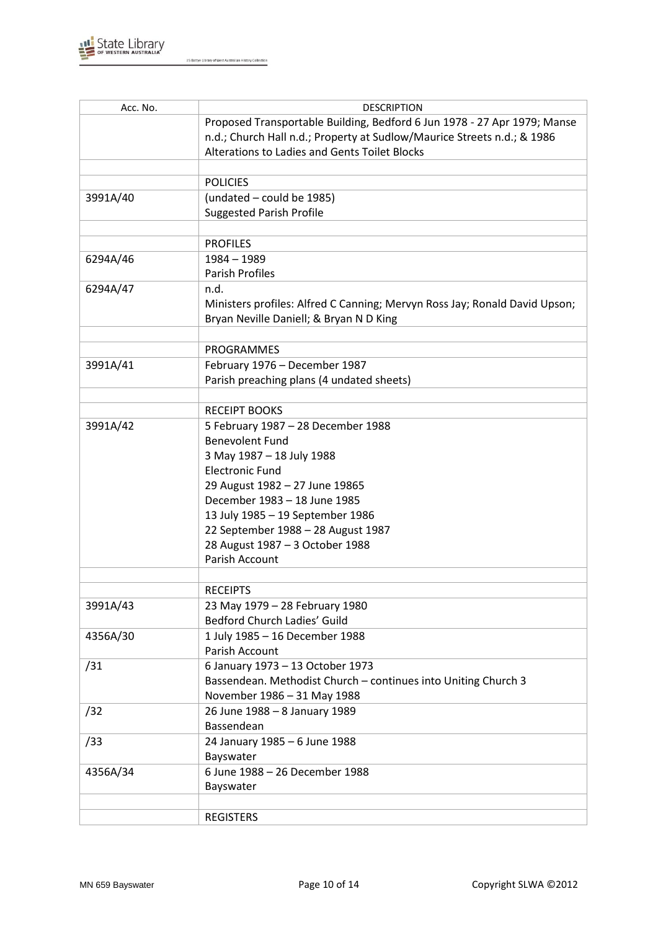

| Acc. No. | <b>DESCRIPTION</b>                                                         |
|----------|----------------------------------------------------------------------------|
|          | Proposed Transportable Building, Bedford 6 Jun 1978 - 27 Apr 1979; Manse   |
|          | n.d.; Church Hall n.d.; Property at Sudlow/Maurice Streets n.d.; & 1986    |
|          | Alterations to Ladies and Gents Toilet Blocks                              |
|          |                                                                            |
|          | <b>POLICIES</b>                                                            |
| 3991A/40 | (undated - could be 1985)                                                  |
|          | <b>Suggested Parish Profile</b>                                            |
|          |                                                                            |
|          | <b>PROFILES</b>                                                            |
| 6294A/46 | $1984 - 1989$                                                              |
|          | <b>Parish Profiles</b>                                                     |
| 6294A/47 | n.d.                                                                       |
|          |                                                                            |
|          | Ministers profiles: Alfred C Canning; Mervyn Ross Jay; Ronald David Upson; |
|          | Bryan Neville Daniell; & Bryan N D King                                    |
|          |                                                                            |
|          | <b>PROGRAMMES</b>                                                          |
| 3991A/41 | February 1976 - December 1987                                              |
|          | Parish preaching plans (4 undated sheets)                                  |
|          |                                                                            |
|          | <b>RECEIPT BOOKS</b>                                                       |
| 3991A/42 | 5 February 1987 - 28 December 1988                                         |
|          | <b>Benevolent Fund</b>                                                     |
|          | 3 May 1987 - 18 July 1988                                                  |
|          | <b>Electronic Fund</b>                                                     |
|          | 29 August 1982 - 27 June 19865                                             |
|          | December 1983 - 18 June 1985                                               |
|          | 13 July 1985 - 19 September 1986                                           |
|          | 22 September 1988 - 28 August 1987                                         |
|          | 28 August 1987 - 3 October 1988                                            |
|          | Parish Account                                                             |
|          |                                                                            |
|          | <b>RECEIPTS</b>                                                            |
| 3991A/43 | 23 May 1979 - 28 February 1980                                             |
|          | Bedford Church Ladies' Guild                                               |
| 4356A/30 | 1 July 1985 - 16 December 1988                                             |
|          | Parish Account                                                             |
| /31      | 6 January 1973 - 13 October 1973                                           |
|          | Bassendean. Methodist Church - continues into Uniting Church 3             |
|          | November 1986 - 31 May 1988                                                |
| /32      | 26 June 1988 - 8 January 1989                                              |
|          | Bassendean                                                                 |
| /33      | 24 January 1985 - 6 June 1988                                              |
|          | Bayswater                                                                  |
| 4356A/34 | 6 June 1988 - 26 December 1988                                             |
|          | Bayswater                                                                  |
|          |                                                                            |
|          |                                                                            |
|          | <b>REGISTERS</b>                                                           |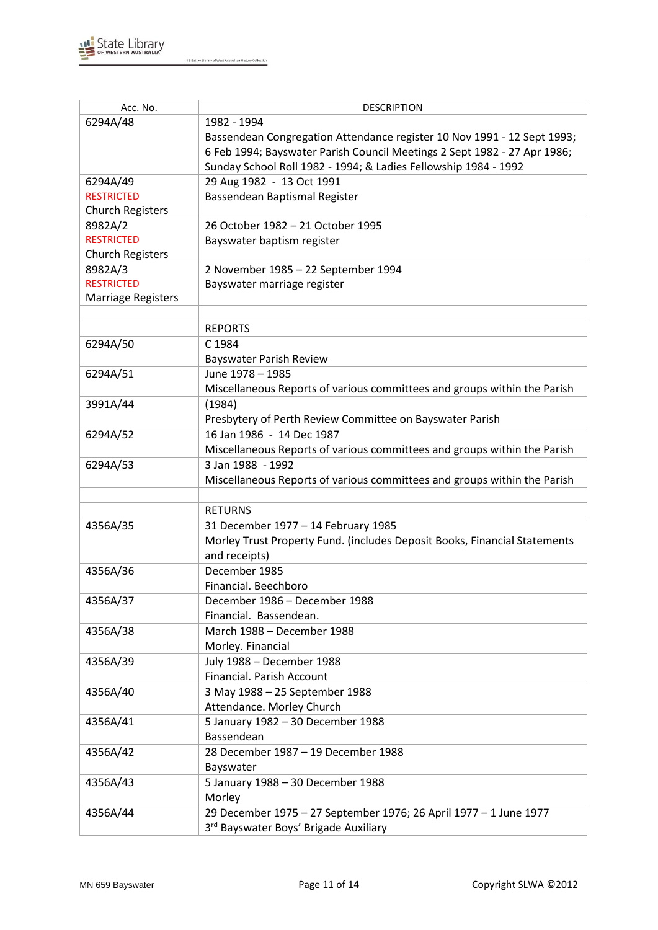

| Acc. No.                  | <b>DESCRIPTION</b>                                                        |
|---------------------------|---------------------------------------------------------------------------|
| 6294A/48                  | 1982 - 1994                                                               |
|                           | Bassendean Congregation Attendance register 10 Nov 1991 - 12 Sept 1993;   |
|                           | 6 Feb 1994; Bayswater Parish Council Meetings 2 Sept 1982 - 27 Apr 1986;  |
|                           | Sunday School Roll 1982 - 1994; & Ladies Fellowship 1984 - 1992           |
| 6294A/49                  | 29 Aug 1982 - 13 Oct 1991                                                 |
| <b>RESTRICTED</b>         | Bassendean Baptismal Register                                             |
| <b>Church Registers</b>   |                                                                           |
| 8982A/2                   | 26 October 1982 - 21 October 1995                                         |
| <b>RESTRICTED</b>         | Bayswater baptism register                                                |
| <b>Church Registers</b>   |                                                                           |
| 8982A/3                   | 2 November 1985 - 22 September 1994                                       |
| <b>RESTRICTED</b>         | Bayswater marriage register                                               |
| <b>Marriage Registers</b> |                                                                           |
|                           |                                                                           |
|                           | <b>REPORTS</b>                                                            |
| 6294A/50                  | C 1984                                                                    |
|                           | <b>Bayswater Parish Review</b>                                            |
| 6294A/51                  | June 1978 - 1985                                                          |
|                           | Miscellaneous Reports of various committees and groups within the Parish  |
| 3991A/44                  | (1984)                                                                    |
|                           | Presbytery of Perth Review Committee on Bayswater Parish                  |
| 6294A/52                  | 16 Jan 1986 - 14 Dec 1987                                                 |
|                           | Miscellaneous Reports of various committees and groups within the Parish  |
| 6294A/53                  | 3 Jan 1988 - 1992                                                         |
|                           | Miscellaneous Reports of various committees and groups within the Parish  |
|                           |                                                                           |
|                           | <b>RETURNS</b>                                                            |
| 4356A/35                  | 31 December 1977 - 14 February 1985                                       |
|                           | Morley Trust Property Fund. (includes Deposit Books, Financial Statements |
|                           | and receipts)                                                             |
| 4356A/36                  | December 1985                                                             |
|                           | Financial. Beechboro                                                      |
| 4356A/37                  | December 1986 - December 1988                                             |
|                           | Financial. Bassendean.                                                    |
| 4356A/38                  | March 1988 - December 1988                                                |
|                           | Morley. Financial                                                         |
| 4356A/39                  | July 1988 - December 1988                                                 |
|                           | Financial. Parish Account                                                 |
| 4356A/40                  | 3 May 1988 - 25 September 1988                                            |
|                           | Attendance. Morley Church                                                 |
| 4356A/41                  | 5 January 1982 - 30 December 1988                                         |
|                           | Bassendean                                                                |
| 4356A/42                  | 28 December 1987 - 19 December 1988                                       |
|                           | Bayswater                                                                 |
| 4356A/43                  | 5 January 1988 - 30 December 1988                                         |
|                           | Morley                                                                    |
| 4356A/44                  | 29 December 1975 - 27 September 1976; 26 April 1977 - 1 June 1977         |
|                           | 3rd Bayswater Boys' Brigade Auxiliary                                     |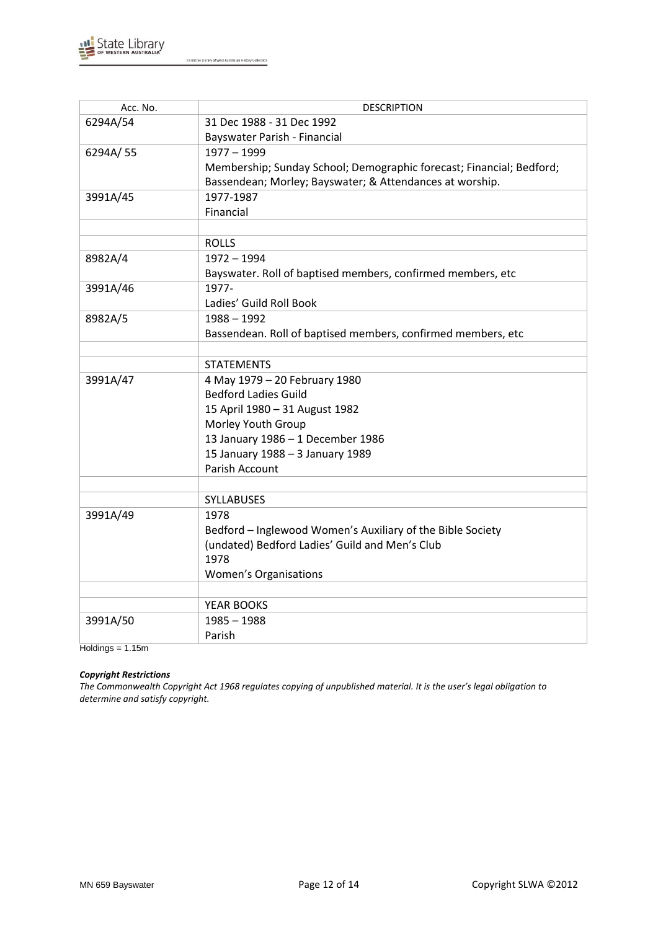

| Acc. No. | <b>DESCRIPTION</b>                                                   |
|----------|----------------------------------------------------------------------|
| 6294A/54 | 31 Dec 1988 - 31 Dec 1992                                            |
|          | Bayswater Parish - Financial                                         |
| 6294A/55 | $1977 - 1999$                                                        |
|          | Membership; Sunday School; Demographic forecast; Financial; Bedford; |
|          | Bassendean; Morley; Bayswater; & Attendances at worship.             |
| 3991A/45 | 1977-1987                                                            |
|          | Financial                                                            |
|          |                                                                      |
|          | <b>ROLLS</b>                                                         |
| 8982A/4  | $1972 - 1994$                                                        |
|          | Bayswater. Roll of baptised members, confirmed members, etc          |
| 3991A/46 | 1977-                                                                |
|          | Ladies' Guild Roll Book                                              |
| 8982A/5  | $1988 - 1992$                                                        |
|          | Bassendean. Roll of baptised members, confirmed members, etc         |
|          |                                                                      |
|          | <b>STATEMENTS</b>                                                    |
| 3991A/47 | 4 May 1979 - 20 February 1980                                        |
|          | <b>Bedford Ladies Guild</b>                                          |
|          | 15 April 1980 - 31 August 1982                                       |
|          | Morley Youth Group                                                   |
|          | 13 January 1986 - 1 December 1986                                    |
|          | 15 January 1988 - 3 January 1989                                     |
|          | <b>Parish Account</b>                                                |
|          |                                                                      |
|          | <b>SYLLABUSES</b>                                                    |
| 3991A/49 | 1978                                                                 |
|          | Bedford - Inglewood Women's Auxiliary of the Bible Society           |
|          | (undated) Bedford Ladies' Guild and Men's Club                       |
|          | 1978                                                                 |
|          | <b>Women's Organisations</b>                                         |
|          |                                                                      |
|          | YEAR BOOKS                                                           |
| 3991A/50 | $1985 - 1988$                                                        |
|          | Parish                                                               |

 $Holdings = 1.15m$ 

## *Copyright Restrictions*

*The Commonwealth Copyright Act 1968 regulates copying of unpublished material. It is the user's legal obligation to determine and satisfy copyright.*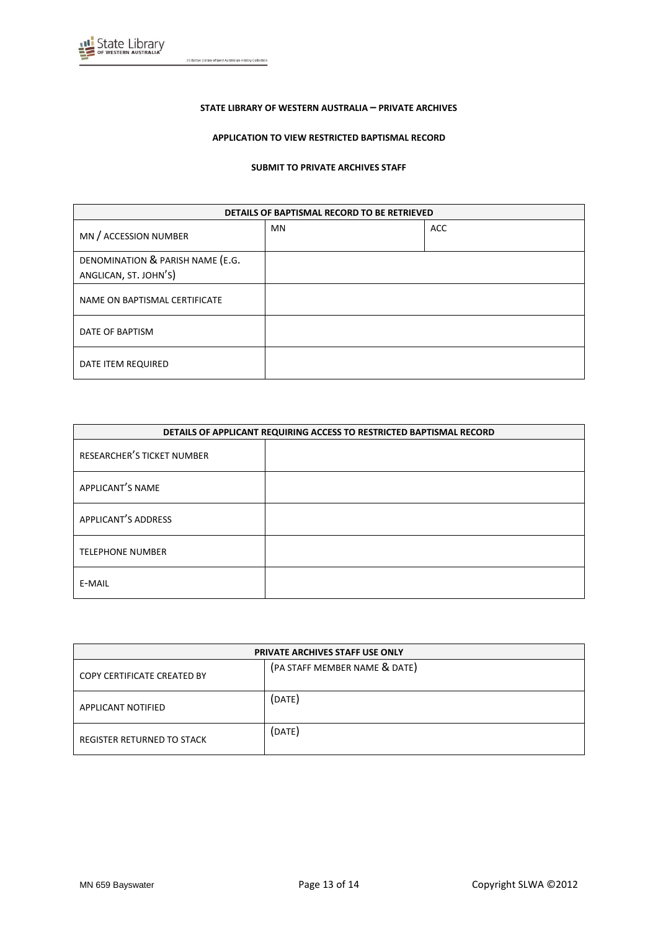

#### **STATE LIBRARY OF WESTERN AUSTRALIA – PRIVATE ARCHIVES**

#### **APPLICATION TO VIEW RESTRICTED BAPTISMAL RECORD**

#### **SUBMIT TO PRIVATE ARCHIVES STAFF**

| DETAILS OF BAPTISMAL RECORD TO BE RETRIEVED |    |            |  |
|---------------------------------------------|----|------------|--|
| MN / ACCESSION NUMBER                       | MN | <b>ACC</b> |  |
| DENOMINATION & PARISH NAME (E.G.            |    |            |  |
| ANGLICAN, ST. JOHN'S)                       |    |            |  |
| NAME ON BAPTISMAL CERTIFICATE               |    |            |  |
| DATE OF BAPTISM                             |    |            |  |
| DATE ITEM REQUIRED                          |    |            |  |

| DETAILS OF APPLICANT REQUIRING ACCESS TO RESTRICTED BAPTISMAL RECORD |  |  |
|----------------------------------------------------------------------|--|--|
| RESEARCHER'S TICKET NUMBER                                           |  |  |
| APPLICANT'S NAME                                                     |  |  |
| <b>APPLICANT'S ADDRESS</b>                                           |  |  |
| <b>TELEPHONE NUMBER</b>                                              |  |  |
| E-MAIL                                                               |  |  |

| <b>PRIVATE ARCHIVES STAFF USE ONLY</b> |                               |  |
|----------------------------------------|-------------------------------|--|
| COPY CERTIFICATE CREATED BY            | (PA STAFF MEMBER NAME & DATE) |  |
| APPLICANT NOTIFIED                     | (DATE)                        |  |
| REGISTER RETURNED TO STACK             | (DATE)                        |  |